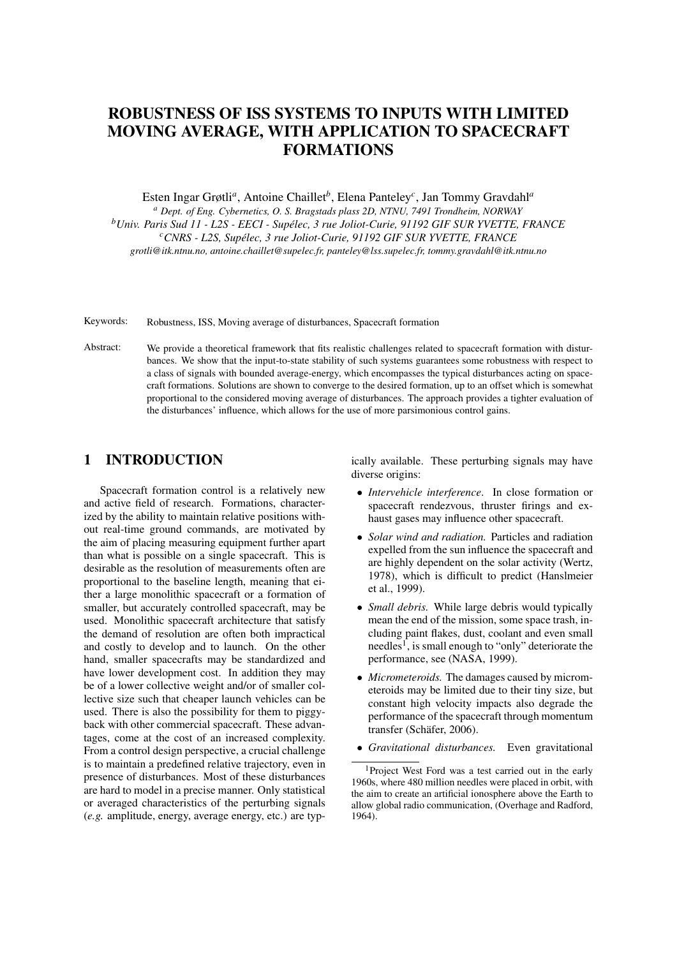# ROBUSTNESS OF ISS SYSTEMS TO INPUTS WITH LIMITED MOVING AVERAGE, WITH APPLICATION TO SPACECRAFT FORMATIONS

Esten Ingar Grøtli*<sup>a</sup>* , Antoine Chaillet*<sup>b</sup>* , Elena Panteley*<sup>c</sup>* , Jan Tommy Gravdahl*<sup>a</sup>*

*<sup>a</sup> Dept. of Eng. Cybernetics, O. S. Bragstads plass 2D, NTNU, 7491 Trondheim, NORWAY*

*<sup>b</sup>Univ. Paris Sud 11 - L2S - EECI - Supelec, 3 rue Joliot-Curie, 91192 GIF SUR YVETTE, FRANCE ´*

*<sup>c</sup>CNRS - L2S, Supelec, 3 rue Joliot-Curie, 91192 GIF SUR YVETTE, FRANCE ´*

*grotli@itk.ntnu.no, antoine.chaillet@supelec.fr, panteley@lss.supelec.fr, tommy.gravdahl@itk.ntnu.no*

Keywords: Robustness, ISS, Moving average of disturbances, Spacecraft formation

Abstract: We provide a theoretical framework that fits realistic challenges related to spacecraft formation with disturbances. We show that the input-to-state stability of such systems guarantees some robustness with respect to a class of signals with bounded average-energy, which encompasses the typical disturbances acting on spacecraft formations. Solutions are shown to converge to the desired formation, up to an offset which is somewhat proportional to the considered moving average of disturbances. The approach provides a tighter evaluation of the disturbances' influence, which allows for the use of more parsimonious control gains.

## 1 INTRODUCTION

Spacecraft formation control is a relatively new and active field of research. Formations, characterized by the ability to maintain relative positions without real-time ground commands, are motivated by the aim of placing measuring equipment further apart than what is possible on a single spacecraft. This is desirable as the resolution of measurements often are proportional to the baseline length, meaning that either a large monolithic spacecraft or a formation of smaller, but accurately controlled spacecraft, may be used. Monolithic spacecraft architecture that satisfy the demand of resolution are often both impractical and costly to develop and to launch. On the other hand, smaller spacecrafts may be standardized and have lower development cost. In addition they may be of a lower collective weight and/or of smaller collective size such that cheaper launch vehicles can be used. There is also the possibility for them to piggyback with other commercial spacecraft. These advantages, come at the cost of an increased complexity. From a control design perspective, a crucial challenge is to maintain a predefined relative trajectory, even in presence of disturbances. Most of these disturbances are hard to model in a precise manner. Only statistical or averaged characteristics of the perturbing signals (*e.g.* amplitude, energy, average energy, etc.) are typically available. These perturbing signals may have diverse origins:

- *Intervehicle interference*. In close formation or spacecraft rendezvous, thruster firings and exhaust gases may influence other spacecraft.
- *Solar wind and radiation.* Particles and radiation expelled from the sun influence the spacecraft and are highly dependent on the solar activity (Wertz, 1978), which is difficult to predict (Hanslmeier et al., 1999).
- *Small debris.* While large debris would typically mean the end of the mission, some space trash, including paint flakes, dust, coolant and even small needles<sup>1</sup>, is small enough to "only" deteriorate the performance, see (NASA, 1999).
- *Micrometeroids.* The damages caused by micrometeroids may be limited due to their tiny size, but constant high velocity impacts also degrade the performance of the spacecraft through momentum transfer (Schäfer, 2006).
- *Gravitational disturbances.* Even gravitational

<sup>&</sup>lt;sup>1</sup>Project West Ford was a test carried out in the early 1960s, where 480 million needles were placed in orbit, with the aim to create an artificial ionosphere above the Earth to allow global radio communication, (Overhage and Radford, 1964).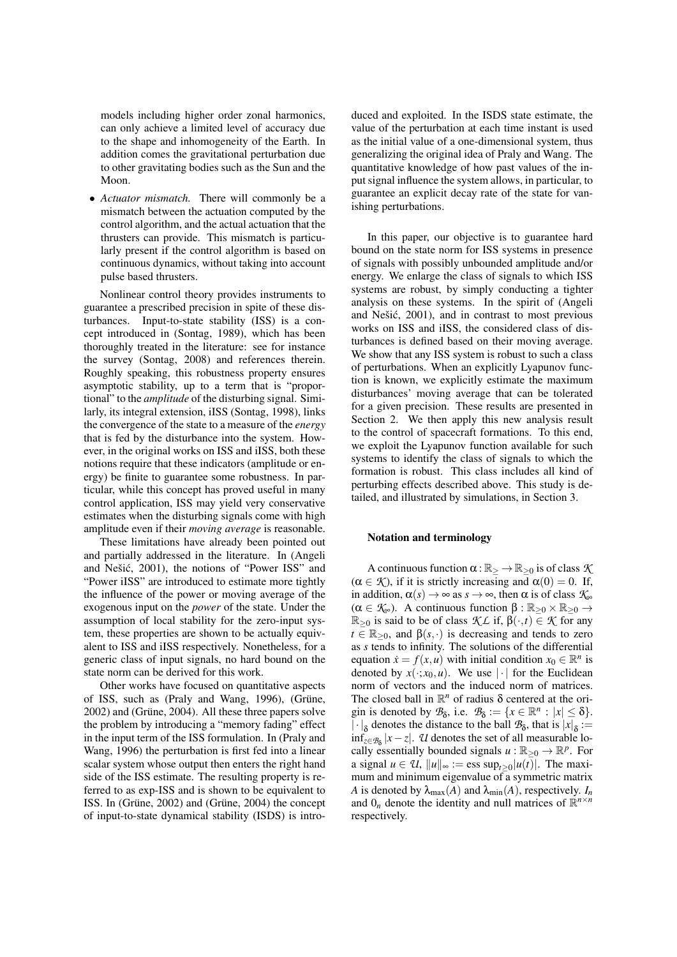models including higher order zonal harmonics, can only achieve a limited level of accuracy due to the shape and inhomogeneity of the Earth. In addition comes the gravitational perturbation due to other gravitating bodies such as the Sun and the Moon.

• *Actuator mismatch.* There will commonly be a mismatch between the actuation computed by the control algorithm, and the actual actuation that the thrusters can provide. This mismatch is particularly present if the control algorithm is based on continuous dynamics, without taking into account pulse based thrusters.

Nonlinear control theory provides instruments to guarantee a prescribed precision in spite of these disturbances. Input-to-state stability (ISS) is a concept introduced in (Sontag, 1989), which has been thoroughly treated in the literature: see for instance the survey (Sontag, 2008) and references therein. Roughly speaking, this robustness property ensures asymptotic stability, up to a term that is "proportional" to the *amplitude* of the disturbing signal. Similarly, its integral extension, iISS (Sontag, 1998), links the convergence of the state to a measure of the *energy* that is fed by the disturbance into the system. However, in the original works on ISS and iISS, both these notions require that these indicators (amplitude or energy) be finite to guarantee some robustness. In particular, while this concept has proved useful in many control application, ISS may yield very conservative estimates when the disturbing signals come with high amplitude even if their *moving average* is reasonable.

These limitations have already been pointed out and partially addressed in the literature. In (Angeli and Nešić, 2001), the notions of "Power ISS" and "Power iISS" are introduced to estimate more tightly the influence of the power or moving average of the exogenous input on the *power* of the state. Under the assumption of local stability for the zero-input system, these properties are shown to be actually equivalent to ISS and iISS respectively. Nonetheless, for a generic class of input signals, no hard bound on the state norm can be derived for this work.

Other works have focused on quantitative aspects of ISS, such as (Praly and Wang, 1996), (Grüne, 2002) and (Grüne, 2004). All these three papers solve the problem by introducing a "memory fading" effect in the input term of the ISS formulation. In (Praly and Wang, 1996) the perturbation is first fed into a linear scalar system whose output then enters the right hand side of the ISS estimate. The resulting property is referred to as exp-ISS and is shown to be equivalent to ISS. In (Grüne,  $2002$ ) and (Grüne,  $2004$ ) the concept of input-to-state dynamical stability (ISDS) is introduced and exploited. In the ISDS state estimate, the value of the perturbation at each time instant is used as the initial value of a one-dimensional system, thus generalizing the original idea of Praly and Wang. The quantitative knowledge of how past values of the input signal influence the system allows, in particular, to guarantee an explicit decay rate of the state for vanishing perturbations.

In this paper, our objective is to guarantee hard bound on the state norm for ISS systems in presence of signals with possibly unbounded amplitude and/or energy. We enlarge the class of signals to which ISS systems are robust, by simply conducting a tighter analysis on these systems. In the spirit of (Angeli and Nešić, 2001), and in contrast to most previous works on ISS and iISS, the considered class of disturbances is defined based on their moving average. We show that any ISS system is robust to such a class of perturbations. When an explicitly Lyapunov function is known, we explicitly estimate the maximum disturbances' moving average that can be tolerated for a given precision. These results are presented in Section 2. We then apply this new analysis result to the control of spacecraft formations. To this end, we exploit the Lyapunov function available for such systems to identify the class of signals to which the formation is robust. This class includes all kind of perturbing effects described above. This study is detailed, and illustrated by simulations, in Section 3.

#### Notation and terminology

A continuous function  $\alpha : \mathbb{R}_{>}\to \mathbb{R}_{\geq 0}$  is of class  $\mathcal K$  $(\alpha \in \mathcal{K})$ , if it is strictly increasing and  $\alpha(0) = 0$ . If, in addition,  $\alpha(s) \to \infty$  as  $s \to \infty$ , then  $\alpha$  is of class  $\mathcal{K}_{\infty}$  $(\alpha \in \mathcal{K}_{\infty})$ . A continuous function  $\beta : \mathbb{R}_{\geq 0} \times \mathbb{R}_{\geq 0} \rightarrow$ <sup>R</sup>≥<sup>0</sup> is said to be of class *K L* if, <sup>β</sup>(·,*t*) <sup>∈</sup> *K* for any  $t \in \mathbb{R}_{\geq 0}$ , and  $\beta(s, \cdot)$  is decreasing and tends to zero as *s* tends to infinity. The solutions of the differential equation  $\dot{x} = f(x, u)$  with initial condition  $x_0 \in \mathbb{R}^n$  is denoted by  $x(\cdot; x_0, u)$ . We use  $|\cdot|$  for the Euclidean norm of vectors and the induced norm of matrices. The closed ball in  $\mathbb{R}^n$  of radius  $\delta$  centered at the origin is denoted by  $\mathcal{B}_{\delta}$ , i.e.  $\mathcal{B}_{\delta} := \{x \in \mathbb{R}^n : |x| \leq \delta\}.$  $|\cdot|_{\delta}$  denotes the distance to the ball  $\mathcal{B}_{\delta}$ , that is  $|x|_{\delta}$ :=  $\inf_{z \in \mathcal{B}_\delta} |x - z|$ . *U* denotes the set of all measurable locally essentially bounded signals  $u : \mathbb{R}_{\geq 0} \to \mathbb{R}^p$ . For a signal  $u \in U$ ,  $||u||_{\infty} := \text{ess sup}_{t \geq 0} |u(t)|$ . The maximum and minimum eigenvalue of a symmetric matrix *A* is denoted by  $\lambda_{\text{max}}(A)$  and  $\lambda_{\text{min}}(A)$ , respectively.  $I_n$ and  $0_n$  denote the identity and null matrices of  $\mathbb{R}^{n \times n}$ respectively.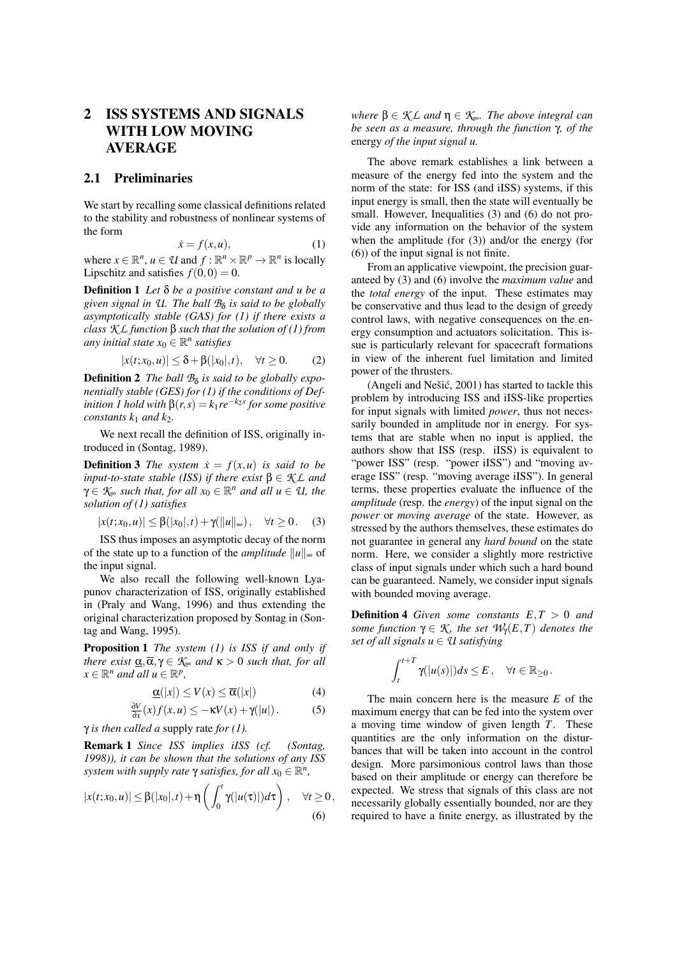## 2 ISS SYSTEMS AND SIGNALS WITH LOW MOVING AVERAGE

#### 2.1 Preliminaries

We start by recalling some classical definitions related to the stability and robustness of nonlinear systems of the form

$$
\dot{x} = f(x, u),\tag{1}
$$

where  $x \in \mathbb{R}^n$ ,  $u \in \mathcal{U}$  and  $f : \mathbb{R}^n \times \mathbb{R}^p \to \mathbb{R}^n$  is locally Lipschitz and satisfies  $f(0,0) = 0$ .

Definition 1 *Let* δ *be a positive constant and u be a given signal in U. The ball B*<sup>δ</sup> *is said to be globally asymptotically stable (GAS) for (1) if there exists a class K L function* β *such that the solution of (1) from any initial state*  $x_0 \in \mathbb{R}^n$  *satisfies* 

$$
|x(t;x_0,u)| \leq \delta + \beta(|x_0|,t), \quad \forall t \geq 0. \tag{2}
$$

**Definition 2** The ball  $B_{\delta}$  is said to be globally expo*nentially stable (GES) for (1) if the conditions of Definition 1 hold with*  $\beta(r, s) = k_1 r e^{-k_2 s}$  *for some positive constants*  $k_1$  *and*  $k_2$ *.* 

We next recall the definition of ISS, originally introduced in (Sontag, 1989).

**Definition 3** *The system*  $\dot{x} = f(x, u)$  *is said to be input-to-state stable (ISS) if there exist*  $\beta \in \mathcal{K}$  *L and*  $\gamma \in \mathcal{K}_{\infty}$  *such that, for all*  $x_0 \in \mathbb{R}^n$  *and all*  $u \in \mathcal{U}$ *, the solution of (1) satisfies*

$$
|x(t;x_0,u)| \leq \beta(|x_0|,t) + \gamma(||u||_{\infty}), \quad \forall t \geq 0. \quad (3)
$$

ISS thus imposes an asymptotic decay of the norm of the state up to a function of the *amplitude*  $||u||_{\infty}$  of the input signal.

We also recall the following well-known Lyapunov characterization of ISS, originally established in (Praly and Wang, 1996) and thus extending the original characterization proposed by Sontag in (Sontag and Wang, 1995).

Proposition 1 *The system (1) is ISS if and only if there exist*  $\alpha, \overline{\alpha}, \gamma \in \mathcal{K}_{\infty}$  *and*  $\kappa > 0$  *such that, for all*  $x \in \mathbb{R}^n$  *and all*  $u \in \mathbb{R}^p$ ,

$$
\underline{\alpha}(|x|) \le V(x) \le \overline{\alpha}(|x|) \tag{4}
$$

$$
\frac{\partial V}{\partial x}(x)f(x,u) \le -\kappa V(x) + \gamma(|u|). \tag{5}
$$

γ *is then called a* supply rate *for (1).*

Remark 1 *Since ISS implies iISS (cf. (Sontag, 1998)), it can be shown that the solutions of any ISS system with supply rate*  $\gamma$  *satisfies, for all*  $x_0 \in \mathbb{R}^n$ *,* 

$$
|x(t;x_0,u)| \leq \beta(|x_0|,t) + \eta\left(\int_0^t \gamma(|u(\tau)|)d\tau\right), \quad \forall t \geq 0,
$$
\n
$$
(6)
$$

*where*  $\beta \in \mathcal{KL}$  *and*  $\eta \in \mathcal{K}_{\infty}$ *. The above integral can be seen as a measure, through the function* γ*, of the* energy *of the input signal u.*

The above remark establishes a link between a measure of the energy fed into the system and the norm of the state: for ISS (and iISS) systems, if this input energy is small, then the state will eventually be small. However, Inequalities (3) and (6) do not provide any information on the behavior of the system when the amplitude (for (3)) and/or the energy (for (6)) of the input signal is not finite.

From an applicative viewpoint, the precision guaranteed by (3) and (6) involve the *maximum value* and the *total energy* of the input. These estimates may be conservative and thus lead to the design of greedy control laws, with negative consequences on the energy consumption and actuators solicitation. This issue is particularly relevant for spacecraft formations in view of the inherent fuel limitation and limited power of the thrusters.

(Angeli and Nešić,  $2001$ ) has started to tackle this problem by introducing ISS and iISS-like properties for input signals with limited *power*, thus not necessarily bounded in amplitude nor in energy. For systems that are stable when no input is applied, the authors show that ISS (resp. iISS) is equivalent to "power ISS" (resp. "power iISS") and "moving average ISS" (resp. "moving average iISS"). In general terms, these properties evaluate the influence of the *amplitude* (resp. the *energy*) of the input signal on the *power* or *moving average* of the state. However, as stressed by the authors themselves, these estimates do not guarantee in general any *hard bound* on the state norm. Here, we consider a slightly more restrictive class of input signals under which such a hard bound can be guaranteed. Namely, we consider input signals with bounded moving average.

Definition 4 *Given some constants E*,*T* > 0 *and some function*  $\gamma \in \mathcal{K}$ *, the set*  $\mathcal{W}_{\gamma}(E,T)$  *denotes the set of all signals*  $u \in \mathcal{U}$  *satisfying* 

$$
\int_t^{t+T} \gamma(|u(s)|)ds \leq E, \quad \forall t \in \mathbb{R}_{\geq 0}.
$$

The main concern here is the measure *E* of the maximum energy that can be fed into the system over a moving time window of given length *T*. These quantities are the only information on the disturbances that will be taken into account in the control design. More parsimonious control laws than those based on their amplitude or energy can therefore be expected. We stress that signals of this class are not necessarily globally essentially bounded, nor are they required to have a finite energy, as illustrated by the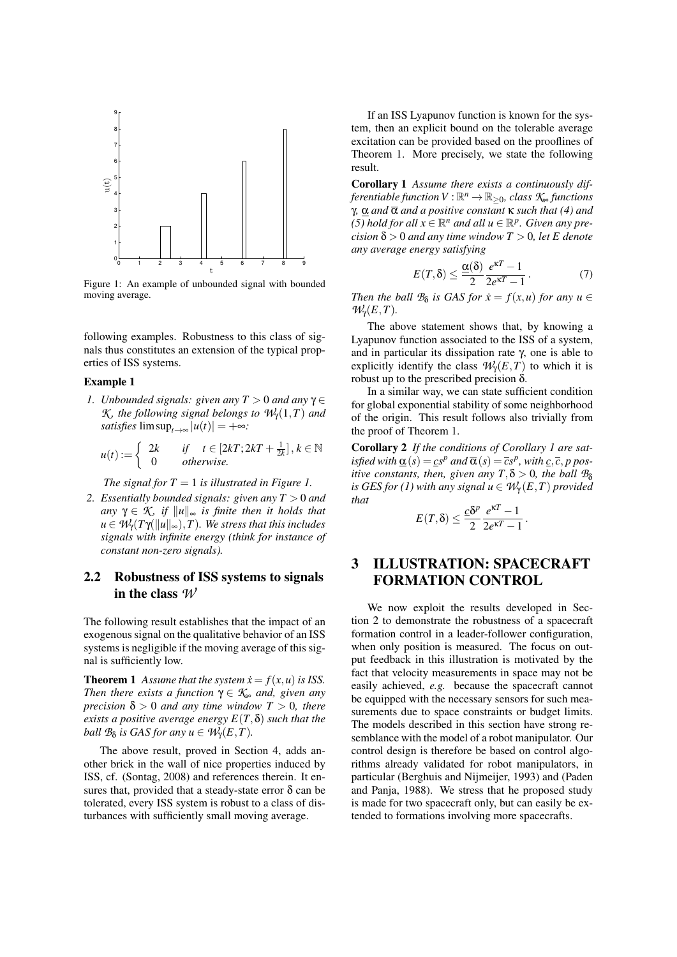

Figure 1: An example of unbounded signal with bounded moving average.

following examples. Robustness to this class of signals thus constitutes an extension of the typical properties of ISS systems.

#### Example 1

*1. Unbounded signals: given any*  $T > 0$  *and any*  $\gamma \in$ *K*, the following signal belongs to  $W_{\gamma}(1,T)$  and *satisfies*  $\limsup_{t\to\infty} |u(t)| = +\infty$ *:* 

$$
u(t) := \begin{cases} 2k & \text{if } t \in [2kT; 2kT + \frac{1}{2k}], k \in \mathbb{N} \\ 0 & \text{otherwise.} \end{cases}
$$

*The signal for*  $T = 1$  *is illustrated in Figure 1.* 

*2. Essentially bounded signals: given any T* > 0 *and any*  $\gamma \in \mathcal{K}$  *if*  $||u||_{\infty}$  *is finite then it holds that*  $u \in \mathcal{W}_{\gamma}(T\gamma(\|u\|_{\infty}),T)$ *. We stress that this includes signals with infinite energy (think for instance of constant non-zero signals).*

### 2.2 Robustness of ISS systems to signals in the class *W*

The following result establishes that the impact of an exogenous signal on the qualitative behavior of an ISS systems is negligible if the moving average of this signal is sufficiently low.

**Theorem 1** Assume that the system  $\dot{x} = f(x, u)$  is ISS. *Then there exists a function*  $\gamma \in \mathcal{K}_{\infty}$  *and, given any precision*  $\delta > 0$  *and any time window*  $T > 0$ *, there exists a positive average energy*  $E(T, \delta)$  *such that the ball*  $\mathcal{B}_{\delta}$  *is GAS for any*  $u \in \mathcal{W}_{\gamma}(E,T)$ *.* 

The above result, proved in Section 4, adds another brick in the wall of nice properties induced by ISS, cf. (Sontag, 2008) and references therein. It ensures that, provided that a steady-state error  $\delta$  can be tolerated, every ISS system is robust to a class of disturbances with sufficiently small moving average.

If an ISS Lyapunov function is known for the system, then an explicit bound on the tolerable average excitation can be provided based on the prooflines of Theorem 1. More precisely, we state the following result.

Corollary 1 *Assume there exists a continuously dif-* $$ γ*,* α *and* α *and a positive constant* κ *such that (4) and (5) hold for all*  $x \in \mathbb{R}^n$  *and all*  $u \in \mathbb{R}^p$ . Given any pre*cision*  $\delta$  > 0 *and any time window*  $T$  > 0*, let E denote any average energy satisfying*

$$
E(T,\delta) \le \frac{\underline{\alpha}(\delta)}{2} \frac{e^{\kappa T} - 1}{2e^{\kappa T} - 1}.
$$
 (7)

*Then the ball*  $B_{\delta}$  *is GAS for*  $\dot{x} = f(x, u)$  *for any*  $u \in$  $W<sub>Y</sub>(E,T)$ .

The above statement shows that, by knowing a Lyapunov function associated to the ISS of a system, and in particular its dissipation rate  $\gamma$ , one is able to explicitly identify the class  $W<sub>Y</sub>(E,T)$  to which it is robust up to the prescribed precision δ.

In a similar way, we can state sufficient condition for global exponential stability of some neighborhood of the origin. This result follows also trivially from the proof of Theorem 1.

Corollary 2 *If the conditions of Corollary 1 are satisfied with*  $\underline{\alpha}(s) = \underline{c}s^p$  *and*  $\overline{\alpha}(s) = \overline{c}s^p$ , *with*  $\underline{c}, \overline{c}, p$  pos*itive constants, then, given any*  $T, \delta > 0$ *, the ball*  $B_{\delta}$ *is GES for (1) with any signal*  $u \in W_\gamma(E,T)$  *provided that*

$$
E(T,\delta) \leq \frac{c\delta^p}{2} \frac{e^{\kappa T} - 1}{2e^{\kappa T} - 1}.
$$

## 3 ILLUSTRATION: SPACECRAFT FORMATION CONTROL

We now exploit the results developed in Section 2 to demonstrate the robustness of a spacecraft formation control in a leader-follower configuration, when only position is measured. The focus on output feedback in this illustration is motivated by the fact that velocity measurements in space may not be easily achieved, *e.g.* because the spacecraft cannot be equipped with the necessary sensors for such measurements due to space constraints or budget limits. The models described in this section have strong resemblance with the model of a robot manipulator. Our control design is therefore be based on control algorithms already validated for robot manipulators, in particular (Berghuis and Nijmeijer, 1993) and (Paden and Panja, 1988). We stress that he proposed study is made for two spacecraft only, but can easily be extended to formations involving more spacecrafts.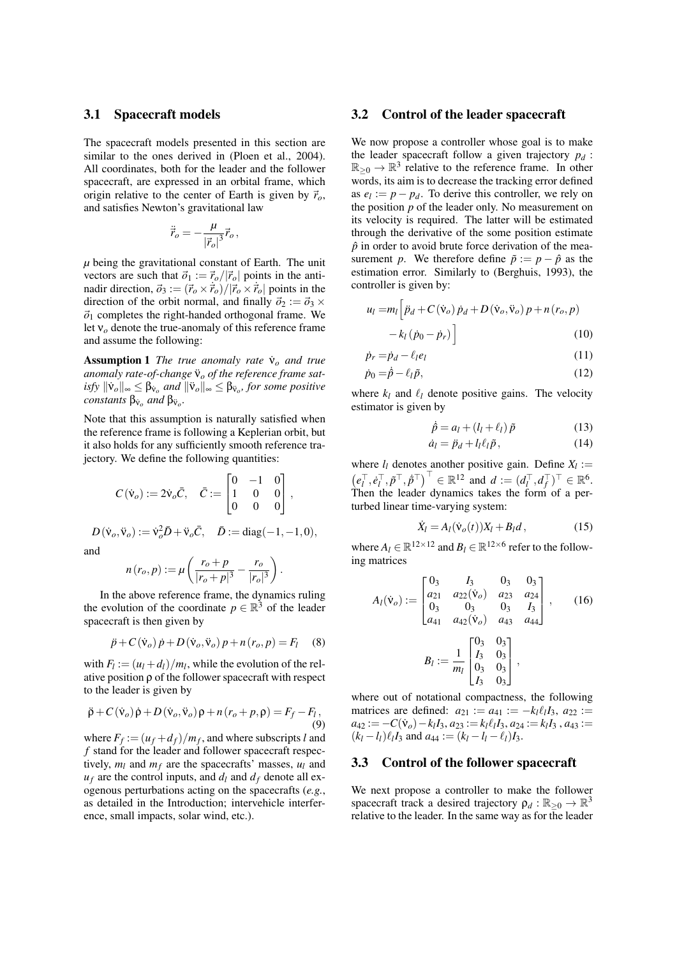#### 3.1 Spacecraft models

The spacecraft models presented in this section are similar to the ones derived in (Ploen et al., 2004). All coordinates, both for the leader and the follower spacecraft, are expressed in an orbital frame, which origin relative to the center of Earth is given by  $\vec{r}_o$ , and satisfies Newton's gravitational law

$$
\ddot{\vec{r}}_o = -\frac{\mu}{|\vec{r}_o|^3} \vec{r}_o,
$$

*µ* being the gravitational constant of Earth. The unit vectors are such that  $\vec{\sigma}_1 := \vec{r}_o/|\vec{r}_o|$  points in the antinadir direction,  $\vec{\sigma}_3 := (\vec{r}_o \times \vec{r}_o)/|\vec{r}_o \times \vec{r}_o|$  points in the direction of the orbit normal, and finally  $\vec{\sigma}_2 := \vec{\sigma}_3 \times$  $\vec{o}_1$  completes the right-handed orthogonal frame. We let ν*<sup>o</sup>* denote the true-anomaly of this reference frame and assume the following:

Assumption 1 *The true anomaly rate* ν˙ *<sup>o</sup> and true* anomaly rate-of-change  $\ddot{v}$  *of the reference frame sat-* $\iint_S \|\dot{\mathbf{v}}_o\|_{\infty} \leq \beta_{\mathbf{v}_o}$  *and*  $\|\ddot{\mathbf{v}}_o\|_{\infty} \leq \beta_{\mathbf{v}_o}$ , for some positive *constants*  $\beta_{\breve{\mathsf{v}}_o}$  *and*  $\beta_{\breve{\mathsf{v}}_o}$ *.* 

Note that this assumption is naturally satisfied when the reference frame is following a Keplerian orbit, but it also holds for any sufficiently smooth reference trajectory. We define the following quantities:

$$
C(\dot{\mathsf{v}}_o) := 2\dot{\mathsf{v}}_o \bar{C}, \quad \bar{C} := \begin{bmatrix} 0 & -1 & 0 \\ 1 & 0 & 0 \\ 0 & 0 & 0 \end{bmatrix},
$$

 $D(\dot{v}_o, \ddot{v}_o) := \dot{v}_o^2 \bar{D} + \ddot{v}_o \bar{C}, \quad \bar{D} := \text{diag}(-1, -1, 0),$ and

$$
n(r_o, p) := \mu \left( \frac{r_o + p}{|r_o + p|^3} - \frac{r_o}{|r_o|^3} \right).
$$

In the above reference frame, the dynamics ruling the evolution of the coordinate  $p \in \mathbb{R}^3$  of the leader spacecraft is then given by

$$
\ddot{p} + C(\dot{v}_o) \dot{p} + D(\dot{v}_o, \ddot{v}_o) p + n(r_o, p) = F_l \quad (8)
$$

with  $F_l := (u_l + d_l)/m_l$ , while the evolution of the relative position ρ of the follower spacecraft with respect to the leader is given by

$$
\ddot{\rho} + C(\dot{v}_o)\dot{\rho} + D(\dot{v}_o, \ddot{v}_o)\rho + n(r_o + p, \rho) = F_f - F_l,
$$
\n(9)

where  $F_f := (u_f + d_f)/m_f$ , and where subscripts *l* and *f* stand for the leader and follower spacecraft respectively,  $m_l$  and  $m_f$  are the spacecrafts' masses,  $u_l$  and  $u_f$  are the control inputs, and  $d_l$  and  $d_f$  denote all exogenous perturbations acting on the spacecrafts (*e.g.*, as detailed in the Introduction; intervehicle interference, small impacts, solar wind, etc.).

### 3.2 Control of the leader spacecraft

We now propose a controller whose goal is to make the leader spacecraft follow a given trajectory  $p_d$ :  $\mathbb{R}_{\geq 0} \to \mathbb{R}^3$  relative to the reference frame. In other words, its aim is to decrease the tracking error defined as  $e_l := p - p_d$ . To derive this controller, we rely on the position *p* of the leader only. No measurement on its velocity is required. The latter will be estimated through the derivative of the some position estimate  $\hat{p}$  in order to avoid brute force derivation of the measurement *p*. We therefore define  $\tilde{p} := p - \hat{p}$  as the estimation error. Similarly to (Berghuis, 1993), the controller is given by:

$$
u_{l} = m_{l} \left[ \ddot{p}_{d} + C(\dot{v}_{o}) \dot{p}_{d} + D(\dot{v}_{o}, \ddot{v}_{o}) p + n(r_{o}, p) -k_{l}(\dot{p}_{0} - \dot{p}_{r}) \right]
$$
(10)

$$
\dot{p}_r = \dot{p}_d - \ell_l e_l \tag{11}
$$

$$
\dot{p}_0 = \dot{\hat{p}} - \ell_l \tilde{p},\tag{12}
$$

where  $k_l$  and  $\ell_l$  denote positive gains. The velocity estimator is given by

$$
\dot{\hat{p}} = a_l + (l_l + \ell_l) \tilde{p} \tag{13}
$$

$$
\dot{a}_l = \ddot{p}_d + l_l \ell_l \tilde{p}, \qquad (14)
$$

where  $l_l$  denotes another positive gain. Define  $X_l :=$  $\left( e_l^{\top}, e_l^{\top}, \tilde{p}^{\top}, \tilde{p}^{\top} \right)^{\top} \in \mathbb{R}^{12}$  and  $d := (d_l^{\top}, d_f^{\top})^{\top} \in \mathbb{R}^{6}$ . Then the leader dynamics takes the form of a perturbed linear time-varying system:

$$
\dot{X}_l = A_l(\dot{\mathbf{v}}_o(t))X_l + B_l d\,,\tag{15}
$$

where  $A_l \in \mathbb{R}^{12 \times 12}$  and  $B_l \in \mathbb{R}^{12 \times 6}$  refer to the following matrices

$$
A_{l}(\dot{\mathbf{v}}_{o}) := \begin{bmatrix} 0_{3} & I_{3} & 0_{3} & 0_{3} \\ a_{21} & a_{22}(\dot{\mathbf{v}}_{o}) & a_{23} & a_{24} \\ 0_{3} & 0_{3} & 0_{3} & I_{3} \\ a_{41} & a_{42}(\dot{\mathbf{v}}_{o}) & a_{43} & a_{44} \end{bmatrix}, \quad (16)
$$

$$
B_{l} := \frac{1}{m_{l}} \begin{bmatrix} 0_{3} & 0_{3} \\ I_{3} & 0_{3} \\ I_{3} & 0_{3} \end{bmatrix},
$$

where out of notational compactness, the following matrices are defined:  $a_{21} := a_{41} := -k_l \ell_l I_3$ ,  $a_{22} :=$  $a_{42} := -C(\dot{v}_o) - k_l I_3, a_{23} := k_l \ell_l I_3, a_{24} := k_l I_3, a_{43} :=$  $(k_l - l_l)\ell_l I_3$  and  $a_{44} := (k_l - l_l - \ell_l)I_3$ .

#### 3.3 Control of the follower spacecraft

We next propose a controller to make the follower spacecraft track a desired trajectory  $\rho_d : \mathbb{R}_{\geq 0} \to \mathbb{R}^3$ relative to the leader. In the same way as for the leader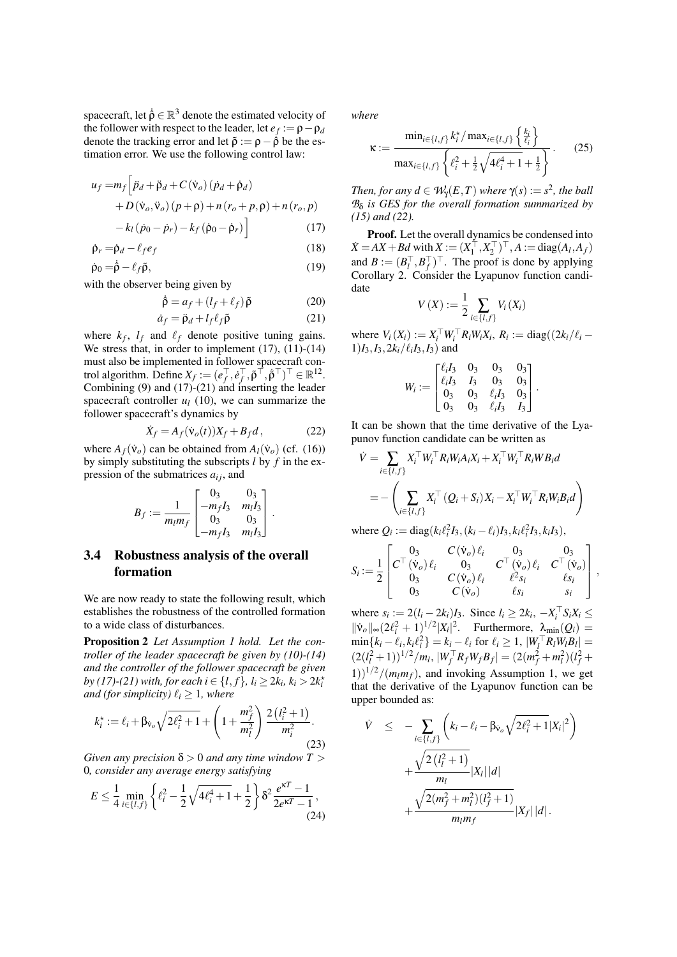spacecraft, let  $\dot{\rho} \in \mathbb{R}^3$  denote the estimated velocity of the follower with respect to the leader, let  $e_f := \rho - \rho_d$ denote the tracking error and let  $\tilde{\rho} := \rho - \dot{\rho}$  be the estimation error. We use the following control law:

$$
u_f = m_f \left[ \ddot{p}_d + \ddot{p}_d + C(\dot{v}_o) (\dot{p}_d + \dot{p}_d) \right.+ D(\dot{v}_o, \ddot{v}_o) (p + \rho) + n (r_o + p, \rho) + n (r_o, p) - k_l (\dot{p}_0 - \dot{p}_r) - k_f (\dot{p}_0 - \dot{p}_r) \right]
$$
(17)

$$
\dot{\rho}_r = \dot{\rho}_d - \ell_f e_f \tag{18}
$$

$$
\dot{\rho}_0 = \dot{\beta} - \ell_f \tilde{\rho},\tag{19}
$$

with the observer being given by

$$
\dot{\hat{\rho}} = a_f + (l_f + \ell_f) \tilde{\rho}
$$
 (20)

$$
\dot{a}_f = \ddot{\rho}_d + l_f \ell_f \tilde{\rho} \tag{21}
$$

where  $k_f$ ,  $l_f$  and  $l_f$  denote positive tuning gains. We stress that, in order to implement  $(17)$ ,  $(11)-(14)$ must also be implemented in follower spacecraft control algorithm. Define  $X_f := (e_f^\top, e_f^\top, \tilde{\rho}^\top, \tilde{\rho}^\top)^\top \in \mathbb{R}^{12}$ . Combining (9) and (17)-(21) and inserting the leader spacecraft controller  $u_l$  (10), we can summarize the follower spacecraft's dynamics by

$$
\dot{X}_f = A_f(\dot{\mathbf{v}}_o(t))X_f + B_f d\,,\tag{22}
$$

where  $A_f(\dot{v}_o)$  can be obtained from  $A_l(\dot{v}_o)$  (cf. (16)) by simply substituting the subscripts *l* by *f* in the expression of the submatrices  $a_{ij}$ , and

$$
B_f := \frac{1}{m_l m_f} \begin{bmatrix} 0_3 & 0_3 \\ -m_f I_3 & m_l I_3 \\ 0_3 & 0_3 \\ -m_f I_3 & m_l I_3 \end{bmatrix}.
$$

## 3.4 Robustness analysis of the overall formation

We are now ready to state the following result, which establishes the robustness of the controlled formation to a wide class of disturbances.

Proposition 2 *Let Assumption 1 hold. Let the controller of the leader spacecraft be given by (10)-(14) and the controller of the follower spacecraft be given by* (17)-(21) with, for each  $i \in \{l, f\}$ ,  $l_i \geq 2k_i$ ,  $k_i > 2k_i^*$ *and (for simplicity)*  $\ell_i \geq 1$ *, where* 

$$
k_i^* := \ell_i + \beta_{\nu_o} \sqrt{2\ell_i^2 + 1} + \left(1 + \frac{m_f^2}{m_l^2}\right) \frac{2\left(l_i^2 + 1\right)}{m_i^2}.
$$
\n(23)

*Given any precision*  $\delta > 0$  *and any time window*  $T > 0$ 0*, consider any average energy satisfying*

$$
E \le \frac{1}{4} \min_{i \in \{l, f\}} \left\{ \ell_i^2 - \frac{1}{2} \sqrt{4\ell_i^4 + 1} + \frac{1}{2} \right\} \delta^2 \frac{e^{\kappa T} - 1}{2e^{\kappa T} - 1},\tag{24}
$$

*where*

$$
\kappa := \frac{\min_{i \in \{l, f\}} k_i^{\star} / \max_{i \in \{l, f\}} \left\{ \frac{k_i}{\ell_i} \right\}}{\max_{i \in \{l, f\}} \left\{ \ell_i^2 + \frac{1}{2} \sqrt{4 \ell_i^4 + 1} + \frac{1}{2} \right\}}.
$$
 (25)

*Then, for any*  $d \in W_{\gamma}(E,T)$  *where*  $\gamma(s) := s^2$ *, the ball B*δ *is GES for the overall formation summarized by (15) and (22).*

Proof. Let the overall dynamics be condensed into  $\dot{X} = AX + Bd$  with  $X := (X_1^\top, X_2^\top)^\top, A := diag(A_I, A_f)$ and  $B := (B_l^+, B_f^+)^\top$ . The proof is done by applying Corollary 2. Consider the Lyapunov function candidate

$$
V(X) := \frac{1}{2} \sum_{i \in \{l, f\}} V_i(X_i)
$$

where  $V_i(X_i) := X_i^{\top} W_i^{\top} R_i W_i X_i$ ,  $R_i := \text{diag}((2k_i/\ell_i 1)I_3$ ,  $I_3$ ,  $2k_i/\ell_iI_3$ ,  $I_3$ ) and

$$
W_i := \begin{bmatrix} \ell_i I_3 & 0_3 & 0_3 & 0_3 \\ \ell_i I_3 & I_3 & 0_3 & 0_3 \\ 0_3 & 0_3 & \ell_i I_3 & 0_3 \\ 0_3 & 0_3 & \ell_i I_3 & I_3 \end{bmatrix}.
$$

It can be shown that the time derivative of the Lyapunov function candidate can be written as

$$
\dot{V} = \sum_{i \in \{I,f\}} X_i^\top W_i^\top R_i W_i A_i X_i + X_i^\top W_i^\top R_i W B_i d
$$
  
= 
$$
- \left( \sum_{i \in \{I,f\}} X_i^\top (Q_i + S_i) X_i - X_i^\top W_i^\top R_i W_i B_i d \right)
$$

where  $Q_i := \text{diag}(k_i \ell_i^2 I_3, (k_i - \ell_i) I_3, k_i \ell_i^2 I_3, k_i I_3),$ 

$$
S_i\!:=\!\frac{1}{2}\begin{bmatrix}0_3 & C\left(\dot{\mathsf{v}}_o\right)\ell_i & 0_3 & 0_3\\C^\top\left(\dot{\mathsf{v}}_o\right)\ell_i & 0_3 & C^\top\left(\dot{\mathsf{v}}_o\right)\ell_i & C^\top\left(\dot{\mathsf{v}}_o\right)\\0_3 & C\left(\dot{\mathsf{v}}_o\right)\ell_i & \ell^2s_i & \ell s_i\\0_3 & C\left(\dot{\mathsf{v}}_o\right) & \ell s_i & s_i\end{bmatrix}
$$

,

where  $s_i := 2(l_i - 2k_i)I_3$ . Since  $l_i \geq 2k_i$ ,  $-X_i^T S_i X_i \leq$  $\|\mathbf{v}_o\|_{\infty} (2\ell_i^2 + 1)^{1/2} |X_i|^2$ . Furthermore,  $\lambda_{\min}(Q_i)$  =  $\min\{k_i - \ell_i, k_i \ell_i^2\} = k_i - \ell_i \text{ for } \ell_i \ge 1, |W_i^\top R_l W_l B_l| = 1$  $(2(l_i^2 + 1))^{1/2}/m_l$ ,  $|W_f^\top R_f W_f B_f| = (2(m_f^2 + m_l^2)(l_f^2 +$  $(1)$ )<sup>1/2</sup>/( $m_l m_f$ ), and invoking Assumption 1, we get that the derivative of the Lyapunov function can be upper bounded as:

$$
\dot{V} \leq -\sum_{i \in \{I, f\}} \left( k_i - \ell_i - \beta v_o \sqrt{2\ell_i^2 + 1} |X_i|^2 \right) + \frac{\sqrt{2(\ell_i^2 + 1)}}{m_l} |X_l| |d| + \frac{\sqrt{2(m_f^2 + m_l^2)(\ell_f^2 + 1)}}{m_l m_f} |X_f| |d|.
$$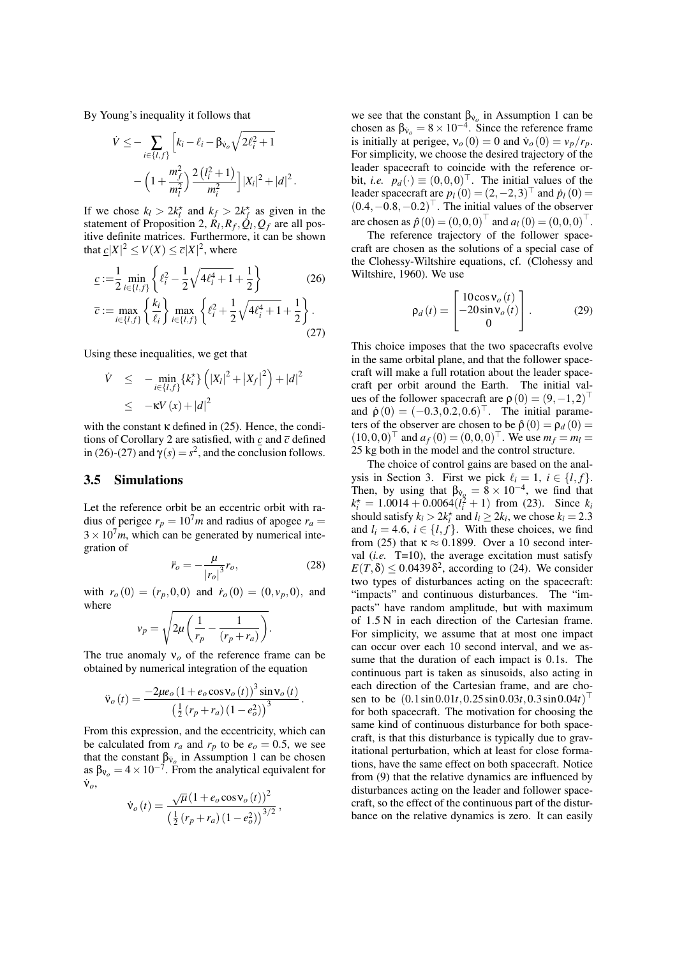By Young's inequality it follows that

$$
\dot{V} \leq -\sum_{i \in \{I,f\}} \left[ k_i - \ell_i - \beta_{\dot{V}_o} \sqrt{2\ell_i^2 + 1} - \left( 1 + \frac{m_f^2}{m_i^2} \right) \frac{2\left(\ell_i^2 + 1\right)}{m_i^2} \right] |X_i|^2 + |d|^2
$$

.

If we chose  $k_l > 2k_l^*$  and  $k_f > 2k_f^*$  as given in the statement of Proposition 2,  $R_l$ ,  $R_f$ ,  $\dot{Q}_l$ ,  $Q_f$  are all positive definite matrices. Furthermore, it can be shown that  $\underline{c}|X|^2 \le V(X) \le \overline{c}|X|^2$ , where

$$
\underline{c} := \frac{1}{2} \min_{i \in \{l, f\}} \left\{ \ell_i^2 - \frac{1}{2} \sqrt{4\ell_i^4 + 1} + \frac{1}{2} \right\} \tag{26}
$$

$$
\overline{c} := \max_{i \in \{l, f\}} \left\{ \frac{k_i}{\ell_i} \right\} \max_{i \in \{l, f\}} \left\{ \ell_i^2 + \frac{1}{2} \sqrt{4\ell_i^4 + 1} + \frac{1}{2} \right\}.
$$
\n(27)

Using these inequalities, we get that

$$
\dot{V} \leq - \min_{i \in \{l, f\}} \{k_i^*\} \left( |X_l|^2 + |X_f|^2 \right) + |d|^2
$$
  
 
$$
\leq -\kappa V(x) + |d|^2
$$

with the constant  $\kappa$  defined in (25). Hence, the conditions of Corollary 2 are satisfied, with  $c$  and  $\bar{c}$  defined in (26)-(27) and  $\gamma(s) = s^2$ , and the conclusion follows.

### 3.5 Simulations

Let the reference orbit be an eccentric orbit with radius of perigee  $r_p = 10^7 m$  and radius of apogee  $r_a =$  $3 \times 10^7$ *m*, which can be generated by numerical integration of

$$
\ddot{r}_o = -\frac{\mu}{|r_o|^3} r_o,\tag{28}
$$

with  $r_o(0) = (r_p, 0, 0)$  and  $\dot{r}_o(0) = (0, v_p, 0)$ , and where

$$
v_p = \sqrt{2\mu \left(\frac{1}{r_p} - \frac{1}{(r_p + r_a)}\right)}.
$$

The true anomaly  $v<sub>o</sub>$  of the reference frame can be obtained by numerical integration of the equation

$$
\ddot{\mathbf{v}}_o(t) = \frac{-2\mu e_o (1 + e_o \cos \mathbf{v}_o(t))^3 \sin \mathbf{v}_o(t)}{\left(\frac{1}{2} (r_p + r_a) (1 - e_o^2)\right)^3}.
$$

From this expression, and the eccentricity, which can be calculated from  $r_a$  and  $r_p$  to be  $e_o = 0.5$ , we see that the constant  $\beta_{v_o}$  in Assumption 1 can be chosen as  $\beta_{v_o} = 4 \times 10^{-7}$ . From the analytical equivalent for  $\dot{\mathsf{v}}_o$ ,

$$
\dot{\mathbf{v}}_o(t) = \frac{\sqrt{\mu} (1 + e_o \cos \mathbf{v}_o(t))^2}{\left(\frac{1}{2} (r_p + r_a) (1 - e_o^2)\right)^{3/2}},
$$

we see that the constant  $\beta_{v_o}$  in Assumption 1 can be chosen as  $\beta_{v_o} = 8 \times 10^{-4}$ . Since the reference frame is initially at perigee,  $v_o(0) = 0$  and  $\dot{v}_o(0) = v_p/r_p$ . For simplicity, we choose the desired trajectory of the leader spacecraft to coincide with the reference orbit, *i.e.*  $p_d(\cdot) \equiv (0,0,0)^\top$ . The initial values of the leader spacecraft are  $p_l(0) = (2, -2, 3)^{\top}$  and  $p_l(0) = (2, -2, 3)^{\top}$  $(0.4, -0.8, -0.2)$ <sup>1</sup>. The initial values of the observer are chosen as  $\hat{p}(0) = (0,0,0)$  and  $a_l(0) = (0,0,0)$ .

The reference trajectory of the follower spacecraft are chosen as the solutions of a special case of the Clohessy-Wiltshire equations, cf. (Clohessy and Wiltshire, 1960). We use

$$
\rho_d(t) = \begin{bmatrix} 10\cos\mathbf{v}_o(t) \\ -20\sin\mathbf{v}_o(t) \\ 0 \end{bmatrix}.
$$
 (29)

This choice imposes that the two spacecrafts evolve in the same orbital plane, and that the follower spacecraft will make a full rotation about the leader spacecraft per orbit around the Earth. The initial values of the follower spacecraft are  $\rho(0) = (9, -1, 2)$ and  $\dot{\rho}(0) = (-0.3, 0.2, 0.6)$ . The initial parameters of the observer are chosen to be  $\hat{\rho}(0) = \rho_d(0)$  $(10,0,0)^{\dagger}$  and  $a_f(0) = (0,0,0)^{\dagger}$ . We use  $m_f = m_l =$ 25 kg both in the model and the control structure.

The choice of control gains are based on the analysis in Section 3. First we pick  $\ell_i = 1, i \in \{l, f\}.$ Then, by using that  $\beta_{y} = 8 \times 10^{-4}$ , we find that  $k_i^* = 1.0014 + 0.0064(l_i^2 + 1)$  from (23). Since  $k_i$ should satisfy  $k_i > 2k_i^*$  and  $l_i \geq 2k_i$ , we chose  $k_i = 2.3$ and  $l_i = 4.6$ ,  $i \in \{l, f\}$ . With these choices, we find from (25) that  $\kappa \approx 0.1899$ . Over a 10 second interval (*i.e.* T=10), the average excitation must satisfy  $E(T, \delta) \le 0.0439 \delta^2$ , according to (24). We consider two types of disturbances acting on the spacecraft: "impacts" and continuous disturbances. The "impacts" have random amplitude, but with maximum of 1.5 N in each direction of the Cartesian frame. For simplicity, we assume that at most one impact can occur over each 10 second interval, and we assume that the duration of each impact is 0.1s. The continuous part is taken as sinusoids, also acting in each direction of the Cartesian frame, and are chosen to be  $(0.1\sin 0.01t, 0.25\sin 0.03t, 0.3\sin 0.04t)$ for both spacecraft. The motivation for choosing the same kind of continuous disturbance for both spacecraft, is that this disturbance is typically due to gravitational perturbation, which at least for close formations, have the same effect on both spacecraft. Notice from (9) that the relative dynamics are influenced by disturbances acting on the leader and follower spacecraft, so the effect of the continuous part of the disturbance on the relative dynamics is zero. It can easily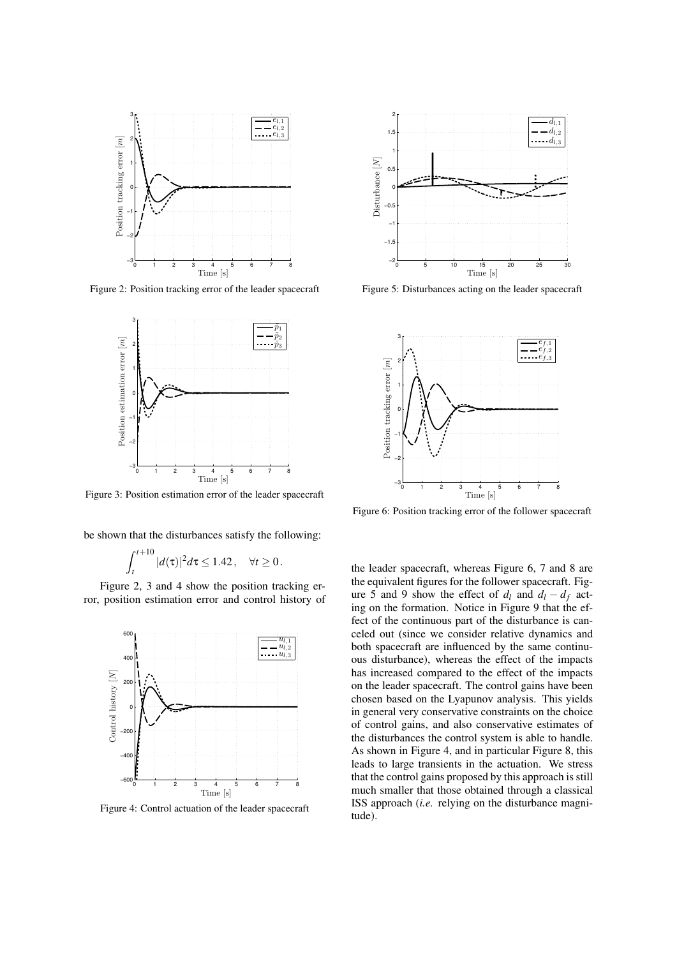

Figure 2: Position tracking error of the leader spacecraft



Figure 3: Position estimation error of the leader spacecraft

be shown that the disturbances satisfy the following:

$$
\int_t^{t+10} |d(\tau)|^2 d\tau \le 1.42, \quad \forall t \ge 0.
$$

 $\ddot{ }$ 

Figure 2, 3 and 4 show the position tracking error, position estimation error and control history of



Figure 4: Control actuation of the leader spacecraft



Figure 5: Disturbances acting on the leader spacecraft



Figure 6: Position tracking error of the follower spacecraft

the leader spacecraft, whereas Figure 6, 7 and 8 are the equivalent figures for the follower spacecraft. Figure 5 and 9 show the effect of  $d_l$  and  $d_l - d_f$  acting on the formation. Notice in Figure 9 that the effect of the continuous part of the disturbance is canceled out (since we consider relative dynamics and both spacecraft are influenced by the same continuous disturbance), whereas the effect of the impacts has increased compared to the effect of the impacts on the leader spacecraft. The control gains have been chosen based on the Lyapunov analysis. This yields in general very conservative constraints on the choice of control gains, and also conservative estimates of the disturbances the control system is able to handle. As shown in Figure 4, and in particular Figure 8, this leads to large transients in the actuation. We stress that the control gains proposed by this approach is still much smaller that those obtained through a classical ISS approach (*i.e.* relying on the disturbance magnitude).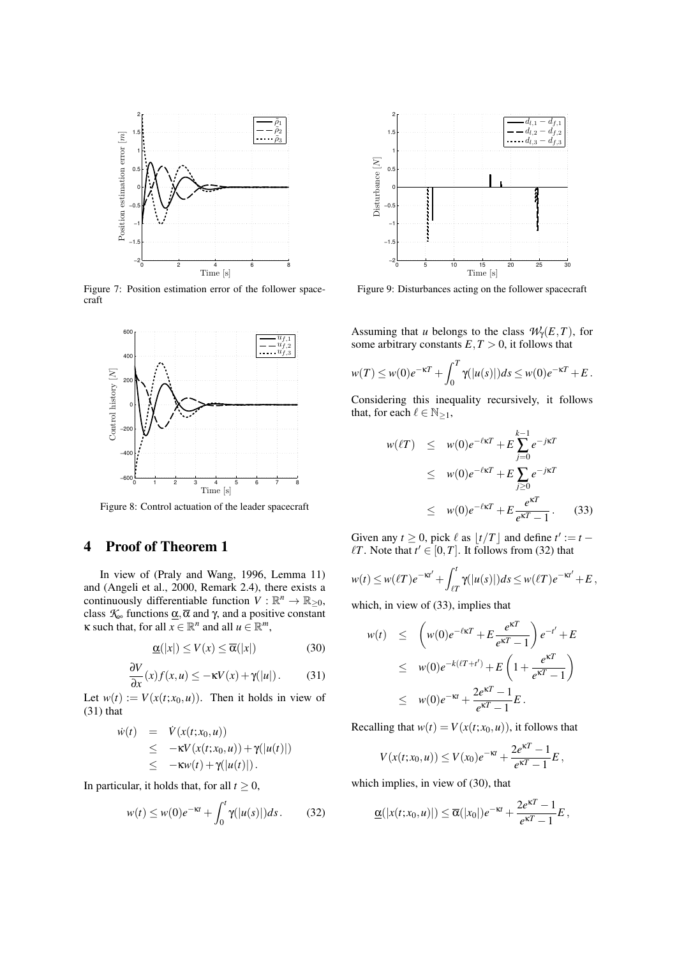

Figure 7: Position estimation error of the follower spacecraft



Figure 8: Control actuation of the leader spacecraft

### 4 Proof of Theorem 1

In view of (Praly and Wang, 1996, Lemma 11) and (Angeli et al., 2000, Remark 2.4), there exists a continuously differentiable function  $V : \mathbb{R}^n \to \mathbb{R}_{\geq 0}$ , class  $K_{\infty}$  functions  $\underline{\alpha}, \overline{\alpha}$  and  $\gamma$ , and a positive constant  $\kappa$  such that, for all  $x \in \mathbb{R}^n$  and all  $u \in \mathbb{R}^m$ ,

$$
\underline{\alpha}(|x|) \le V(x) \le \overline{\alpha}(|x|) \tag{30}
$$

$$
\frac{\partial V}{\partial x}(x)f(x,u) \le -\kappa V(x) + \gamma(|u|). \tag{31}
$$

Let  $w(t) := V(x(t; x_0, u))$ . Then it holds in view of (31) that

$$
\begin{array}{rcl}\n\dot{w}(t) & = & \dot{V}(x(t;x_0,u)) \\
& \leq & -\kappa V(x(t;x_0,u)) + \gamma(|u(t)|) \\
& \leq & -\kappa w(t) + \gamma(|u(t)|).\n\end{array}
$$

In particular, it holds that, for all  $t \geq 0$ ,

$$
w(t) \le w(0)e^{-\kappa t} + \int_0^t \gamma(|u(s)|)ds. \tag{32}
$$



Figure 9: Disturbances acting on the follower spacecraft

Assuming that *u* belongs to the class  $\mathcal{W}_\gamma(E,T)$ , for some arbitrary constants  $E, T > 0$ , it follows that

$$
w(T) \leq w(0)e^{-\kappa T} + \int_0^T \gamma(|u(s)|)ds \leq w(0)e^{-\kappa T} + E.
$$

Considering this inequality recursively, it follows that, for each  $\ell \in \mathbb{N}_{\geq 1}$ ,

$$
w(\ell T) \leq w(0)e^{-\ell\kappa T} + E\sum_{j=0}^{k-1}e^{-j\kappa T}
$$
  
\n
$$
\leq w(0)e^{-\ell\kappa T} + E\sum_{j\geq 0}e^{-j\kappa T}
$$
  
\n
$$
\leq w(0)e^{-\ell\kappa T} + E\frac{e^{\kappa T}}{e^{\kappa T}-1}.
$$
 (33)

Given any  $t \ge 0$ , pick  $\ell$  as  $\lfloor t/T \rfloor$  and define  $t' := t \ell T$ . Note that  $t' \in [0, T]$ . It follows from (32) that

$$
w(t) \leq w(\ell T)e^{-\kappa t'} + \int_{\ell T}^t \gamma(|u(s)|)ds \leq w(\ell T)e^{-\kappa t'} + E,
$$

which, in view of (33), implies that

$$
w(t) \leq \left(w(0)e^{-\ell \kappa T} + E\frac{e^{\kappa T}}{e^{\kappa T} - 1}\right)e^{-t'} + E
$$
  
\n
$$
\leq w(0)e^{-k(\ell T + t')} + E\left(1 + \frac{e^{\kappa T}}{e^{\kappa T} - 1}\right)
$$
  
\n
$$
\leq w(0)e^{-\kappa t} + \frac{2e^{\kappa T} - 1}{e^{\kappa T} - 1}E.
$$

Recalling that  $w(t) = V(x(t; x_0, u))$ , it follows that

$$
V(x(t;x_0,u)) \leq V(x_0)e^{-\kappa t} + \frac{2e^{\kappa T} - 1}{e^{\kappa T} - 1}E,
$$

which implies, in view of (30), that

$$
\underline{\alpha}(|x(t;x_0,u)|) \leq \overline{\alpha}(|x_0|)e^{-\kappa t} + \frac{2e^{\kappa T}-1}{e^{\kappa T}-1}E,
$$